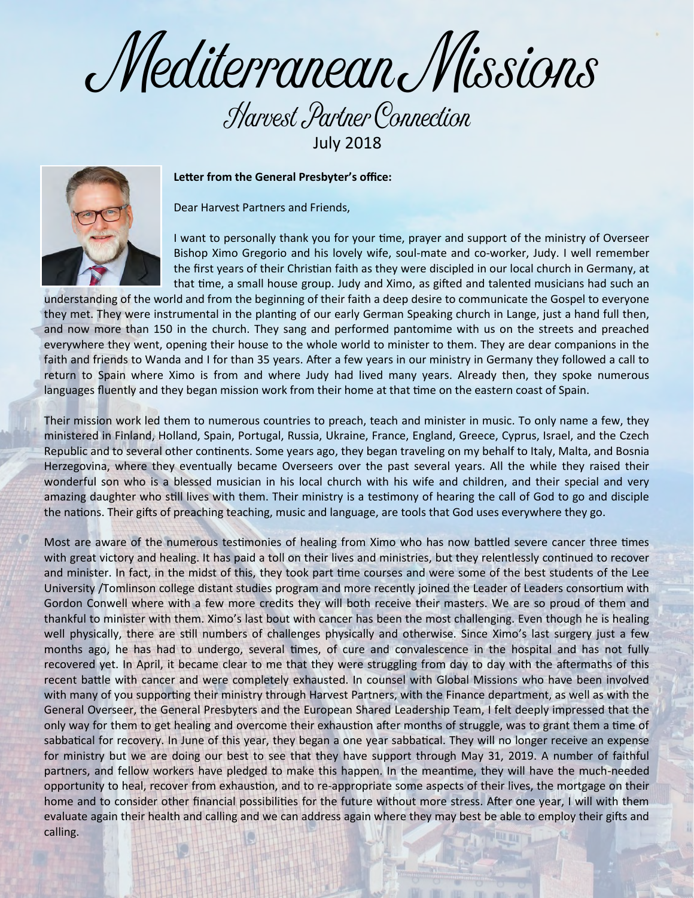Mediterranean Missions

## Harvest Partner Connection July 2018



**Letter from the General Presbyter's office:**

Dear Harvest Partners and Friends,

I want to personally thank you for your time, prayer and support of the ministry of Overseer Bishop Ximo Gregorio and his lovely wife, soul-mate and co-worker, Judy. I well remember the first years of their Christian faith as they were discipled in our local church in Germany, at that time, a small house group. Judy and Ximo, as gifted and talented musicians had such an

understanding of the world and from the beginning of their faith a deep desire to communicate the Gospel to everyone they met. They were instrumental in the planting of our early German Speaking church in Lange, just a hand full then, and now more than 150 in the church. They sang and performed pantomime with us on the streets and preached everywhere they went, opening their house to the whole world to minister to them. They are dear companions in the faith and friends to Wanda and I for than 35 years. After a few years in our ministry in Germany they followed a call to return to Spain where Ximo is from and where Judy had lived many years. Already then, they spoke numerous languages fluently and they began mission work from their home at that time on the eastern coast of Spain.

Their mission work led them to numerous countries to preach, teach and minister in music. To only name a few, they ministered in Finland, Holland, Spain, Portugal, Russia, Ukraine, France, England, Greece, Cyprus, Israel, and the Czech Republic and to several other continents. Some years ago, they began traveling on my behalf to Italy, Malta, and Bosnia Herzegovina, where they eventually became Overseers over the past several years. All the while they raised their wonderful son who is a blessed musician in his local church with his wife and children, and their special and very amazing daughter who still lives with them. Their ministry is a testimony of hearing the call of God to go and disciple the nations. Their gifts of preaching teaching, music and language, are tools that God uses everywhere they go.

Most are aware of the numerous testimonies of healing from Ximo who has now battled severe cancer three times with great victory and healing. It has paid a toll on their lives and ministries, but they relentlessly continued to recover and minister. In fact, in the midst of this, they took part time courses and were some of the best students of the Lee University /Tomlinson college distant studies program and more recently joined the Leader of Leaders consortium with Gordon Conwell where with a few more credits they will both receive their masters. We are so proud of them and thankful to minister with them. Ximo's last bout with cancer has been the most challenging. Even though he is healing well physically, there are still numbers of challenges physically and otherwise. Since Ximo's last surgery just a few months ago, he has had to undergo, several times, of cure and convalescence in the hospital and has not fully recovered yet. In April, it became clear to me that they were struggling from day to day with the aftermaths of this recent battle with cancer and were completely exhausted. In counsel with Global Missions who have been involved with many of you supporting their ministry through Harvest Partners, with the Finance department, as well as with the General Overseer, the General Presbyters and the European Shared Leadership Team, I felt deeply impressed that the only way for them to get healing and overcome their exhaustion after months of struggle, was to grant them a time of sabbatical for recovery. In June of this year, they began a one year sabbatical. They will no longer receive an expense for ministry but we are doing our best to see that they have support through May 31, 2019. A number of faithful partners, and fellow workers have pledged to make this happen. In the meantime, they will have the much-needed opportunity to heal, recover from exhaustion, and to re-appropriate some aspects of their lives, the mortgage on their home and to consider other financial possibilities for the future without more stress. After one year, I will with them evaluate again their health and calling and we can address again where they may best be able to employ their gifts and calling.